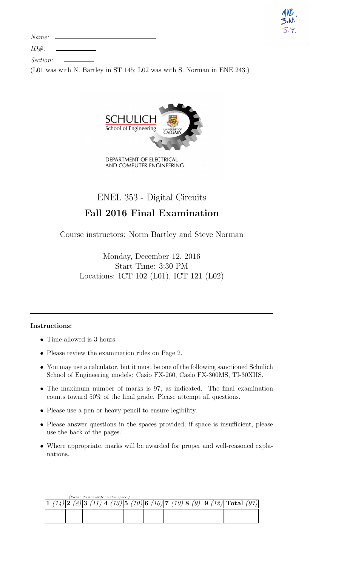| ARB<br>S.N. |  |
|-------------|--|
|             |  |

 $ID#$ :

| <i>Section:</i> |  |
|-----------------|--|

(L01 was with N. Bartley in ST 145; L02 was with S. Norman in ENE 243.)



DEPARTMENT OF ELECTRICAL AND COMPUTER ENGINEERING

## ENEL 353 - Digital Circuits

# Fall 2016 Final Examination

Course instructors: Norm Bartley and Steve Norman

Monday, December 12, 2016 Start Time: 3:30 PM Locations: ICT 102 (L01), ICT 121 (L02)

### Instructions:

- Time allowed is 3 hours.
- Please review the examination rules on Page 2.
- You may use a calculator, but it must be one of the following sanctioned Schulich School of Engineering models: Casio FX-260, Casio FX-300MS, TI-30XIIS.
- The maximum number of marks is 97, as indicated. The final examination counts toward 50% of the final grade. Please attempt all questions.
- Please use a pen or heavy pencil to ensure legibility.
- Please answer questions in the spaces provided; if space is insufficient, please use the back of the pages.
- Where appropriate, marks will be awarded for proper and well-reasoned explanations.

|  |  | (Please do not write in this space.) |  |  |                                                                                                |  |
|--|--|--------------------------------------|--|--|------------------------------------------------------------------------------------------------|--|
|  |  |                                      |  |  | $  3 \t(11)  4 \t(13)  5 \t(10)  6 \t(10)  7 \t(10)  8 \t(9)  9 \t(12)  \text{Total} \t(97)  $ |  |
|  |  |                                      |  |  |                                                                                                |  |
|  |  |                                      |  |  |                                                                                                |  |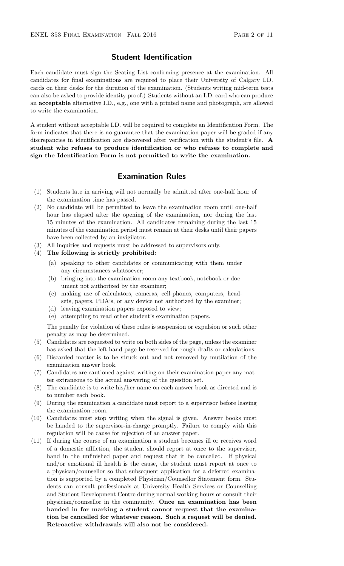#### Student Identification

Each candidate must sign the Seating List confirming presence at the examination. All candidates for final examinations are required to place their University of Calgary I.D. cards on their desks for the duration of the examination. (Students writing mid-term tests can also be asked to provide identity proof.) Students without an I.D. card who can produce an acceptable alternative I.D., e.g., one with a printed name and photograph, are allowed to write the examination.

A student without acceptable I.D. will be required to complete an Identification Form. The form indicates that there is no guarantee that the examination paper will be graded if any discrepancies in identification are discovered after verification with the student's file. A student who refuses to produce identification or who refuses to complete and sign the Identification Form is not permitted to write the examination.

#### Examination Rules

- (1) Students late in arriving will not normally be admitted after one-half hour of the examination time has passed.
- (2) No candidate will be permitted to leave the examination room until one-half hour has elapsed after the opening of the examination, nor during the last 15 minutes of the examination. All candidates remaining during the last 15 minutes of the examination period must remain at their desks until their papers have been collected by an invigilator.
- (3) All inquiries and requests must be addressed to supervisors only.
- (4) The following is strictly prohibited:
	- (a) speaking to other candidates or communicating with them under any circumstances whatsoever;
	- (b) bringing into the examination room any textbook, notebook or document not authorized by the examiner;
	- (c) making use of calculators, cameras, cell-phones, computers, headsets, pagers, PDA's, or any device not authorized by the examiner;
	- (d) leaving examination papers exposed to view;
	- (e) attempting to read other student's examination papers.

The penalty for violation of these rules is suspension or expulsion or such other penalty as may be determined.

- (5) Candidates are requested to write on both sides of the page, unless the examiner has asked that the left hand page be reserved for rough drafts or calculations.
- (6) Discarded matter is to be struck out and not removed by mutilation of the examination answer book.
- (7) Candidates are cautioned against writing on their examination paper any matter extraneous to the actual answering of the question set.
- (8) The candidate is to write his/her name on each answer book as directed and is to number each book.
- (9) During the examination a candidate must report to a supervisor before leaving the examination room.
- (10) Candidates must stop writing when the signal is given. Answer books must be handed to the supervisor-in-charge promptly. Failure to comply with this regulation will be cause for rejection of an answer paper.
- (11) If during the course of an examination a student becomes ill or receives word of a domestic affliction, the student should report at once to the supervisor, hand in the unfinished paper and request that it be cancelled. If physical and/or emotional ill health is the cause, the student must report at once to a physican/counsellor so that subsequent application for a deferred examination is supported by a completed Physician/Counsellor Statement form. Students can consult professionals at University Health Services or Counselling and Student Development Centre during normal working hours or consult their physician/counsellor in the community. Once an examination has been handed in for marking a student cannot request that the examination be cancelled for whatever reason. Such a request will be denied. Retroactive withdrawals will also not be considered.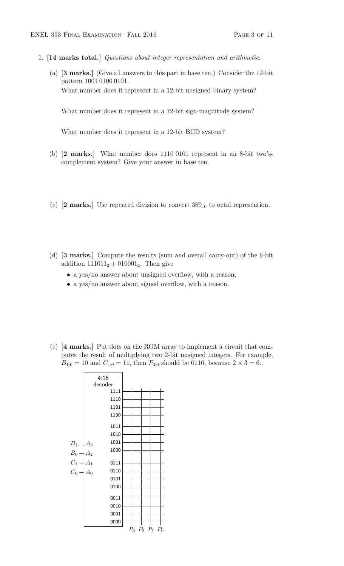- 1. [14 marks total.] Questions about integer representation and arithmetic.
	- (a) [3 marks.] (Give all answers to this part in base ten.) Consider the 12-bit pattern 1001 0100 0101. What number does it represent in a 12-bit unsigned binary system?

What number does it represent in a 12-bit sign-magnitude system?

What number does it represent in a 12-bit BCD system?

- (b) [2 marks.] What number does 1110 0101 represent in an 8-bit two'scomplement system? Give your answer in base ten.
- (c)  $[2 \text{ marks.}]$  Use repeated division to convert  $389_{10}$  to octal represention.
- (d) [3 marks.] Compute the results (sum and overall carry-out) of the 6-bit addition  $111011_2 + 010001_2$ . Then give
	- a yes/no answer about unsigned overflow, with a reason;
	- a yes/no answer about signed overflow, with a reason.
- (e) [4 marks.] Put dots on the ROM array to implement a circuit that computes the result of multiplying two 2-bit unsigned integers. For example,  $B_{1:0} = 10$  and  $C_{1:0} = 11$ , then  $P_{3:0}$  should be 0110, because  $2 \times 3 = 6$ .

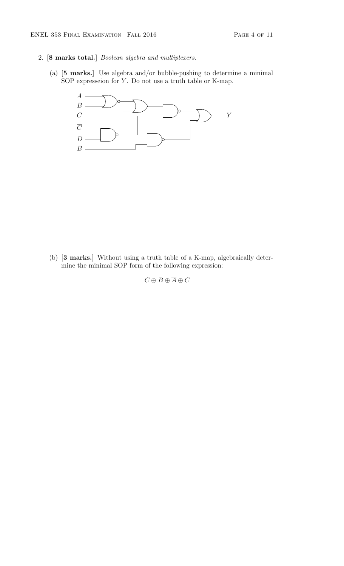- 2. [8 marks total.] Boolean algebra and multiplexers.
	- (a) [5 marks.] Use algebra and/or bubble-pushing to determine a minimal SOP expresseion for  $Y$ . Do not use a truth table or K-map.



(b) [3 marks.] Without using a truth table of a K-map, algebraically determine the minimal SOP form of the following expression:

 $C\oplus B\oplus \overline{A}\oplus C$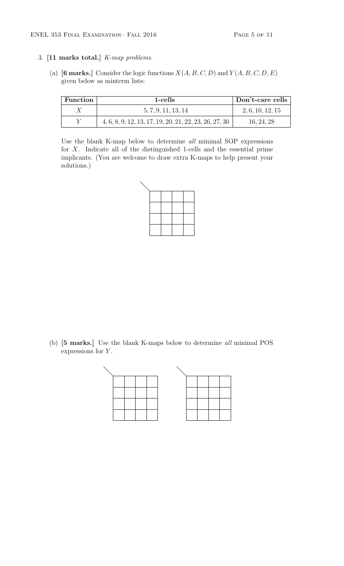#### 3. [11 marks total.] K-map problems.

(a) [6 marks.] Consider the logic functions  $X(A, B, C, D)$  and  $Y(A, B, C, D, E)$ given below as minterm lists:

| Function | 1-cells                                                  | Don't-care cells |
|----------|----------------------------------------------------------|------------------|
|          | 5, 7, 9, 11, 13, 14                                      | 2, 6, 10, 12, 15 |
|          | $4, 6, 8, 9, 12, 13, 17, 19, 20, 21, 22, 23, 26, 27, 30$ | 16, 24, 28       |

Use the blank K-map below to determine all minimal SOP expressions for X. Indicate all of the distinguished 1-cells and the essential prime implicants. (You are welcome to draw extra K-maps to help present your solutions.)

(b) [5 marks.] Use the blank K-maps below to determine all minimal POS expressions for  $Y$ .

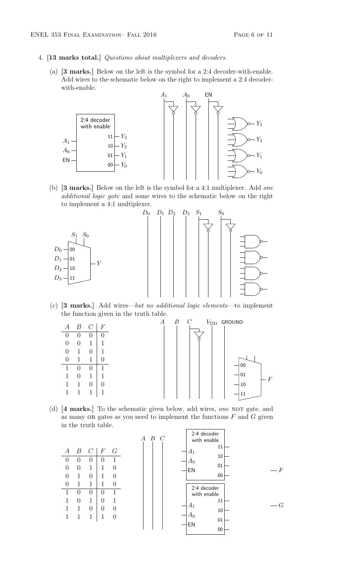- 4. [13 marks total.] Questions about multiplexers and decoders.
	- (a) [3 marks.] Below on the left is the symbol for a 2:4 decoder-with-enable. Add wires to the schematic below on the right to implement a 2:4 decoderwith-enable.



(b) [3 marks.] Below on the left is the symbol for a 4:1 multiplexer. Add one additional logic gate and some wires to the schematic below on the right to implement a 4:1 multiplexer.



(c) [3 marks.] Add wires—but no additional logic elements—to implement the function given in the truth table.



(d)  $[4 \text{ marks.}]$  To the schematic given below, add wires, one NOT gate, and as many OR gates as you need to implement the functions  $F$  and  $G$  given in the truth table.

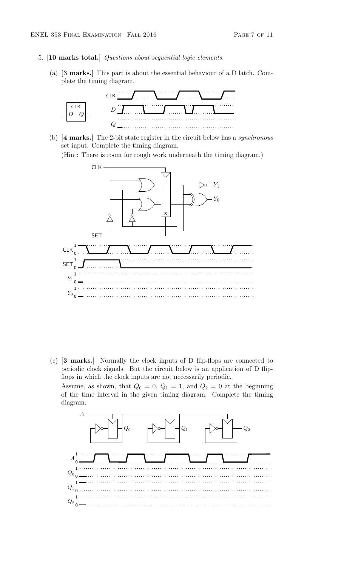- 5. [10 marks total.] Questions about sequential logic elements.
	- (a) [3 marks.] This part is about the essential behaviour of a D latch. Complete the timing diagram.



(b) [4 marks.] The 2-bit state register in the circuit below has a synchronous set input. Complete the timing diagram.

(Hint: There is room for rough work underneath the timing diagram.)



(c) [3 marks.] Normally the clock inputs of D flip-flops are connected to periodic clock signals. But the circuit below is an application of D flipflops in which the clock inputs are not necessarily periodic.

Assume, as shown, that  $Q_0 = 0$ ,  $Q_1 = 1$ , and  $Q_2 = 0$  at the beginning of the time interval in the given timing diagram. Complete the timing diagram.

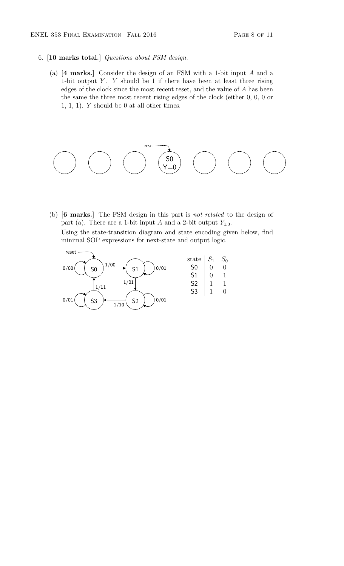- 6. [10 marks total.] Questions about FSM design.
	- (a) [4 marks.] Consider the design of an FSM with a 1-bit input A and a 1-bit output  $Y$ .  $Y$  should be 1 if there have been at least three rising edges of the clock since the most recent reset, and the value of A has been the same the three most recent rising edges of the clock (either 0, 0, 0 or 1, 1, 1).  $Y$  should be 0 at all other times.



(b) [6 marks.] The FSM design in this part is not related to the design of part (a). There are a 1-bit input A and a 2-bit output  $Y_{1:0}$ . Using the state-transition diagram and state encoding given below, find minimal SOP expressions for next-state and output logic.

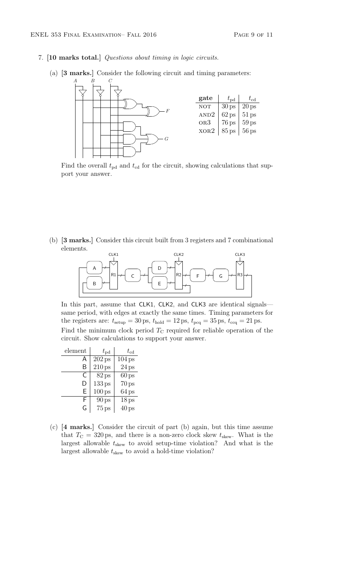- 7. [10 marks total.] Questions about timing in logic circuits.
	- (a) [3 marks.] Consider the following circuit and timing parameters:



Find the overall  $t_{\rm pd}$  and  $t_{\rm cd}$  for the circuit, showing calculations that support your answer.

(b) [3 marks.] Consider this circuit built from 3 registers and 7 combinational elements.



In this part, assume that CLK1, CLK2, and CLK3 are identical signals same period, with edges at exactly the same times. Timing parameters for the registers are:  $t_{\text{setup}} = 30 \,\text{ps}$ ,  $t_{\text{hold}} = 12 \,\text{ps}$ ,  $t_{\text{pcq}} = 35 \,\text{ps}$ ,  $t_{\text{ccq}} = 21 \,\text{ps}$ . Find the minimum clock period  $T_{\rm C}$  required for reliable operation of the circuit. Show calculations to support your answer.

| element | $t_{\rm pd}$       | $t_{\rm cd}$       |
|---------|--------------------|--------------------|
| A       | $202$ ps           | 104 <sub>ps</sub>  |
| B       | $210\,\text{ps}$   | 24 <sub>ps</sub>   |
| C       | 82 ps              | $60 \,\mathrm{ps}$ |
| D       | 133 <sub>ps</sub>  | $70$ ps            |
| F       | $100\,\mathrm{ps}$ | 64 <sub>ps</sub>   |
| F       | 90 <sub>ps</sub>   | 18 <sub>ps</sub>   |
| G       | $75$ ps            | $40\,\text{ps}$    |

(c) [4 marks.] Consider the circuit of part (b) again, but this time assume that  $T_{\rm C} = 320 \,\text{ps}$ , and there is a non-zero clock skew  $t_{\rm skew}$ . What is the largest allowable  $t_{\text{skew}}$  to avoid setup-time violation? And what is the largest allowable  $t_{\mathrm{skew}}$  to avoid a hold-time violation?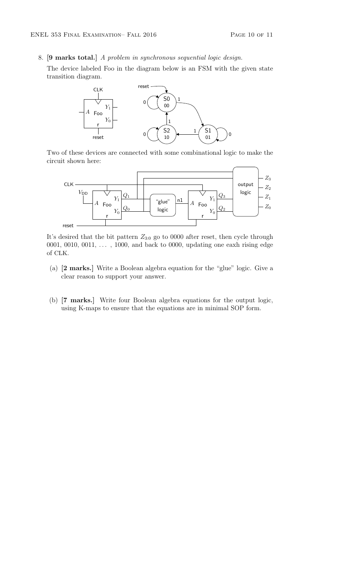8. [9 marks total.] A problem in synchronous sequential logic design.

The device labeled Foo in the diagram below is an FSM with the given state transition diagram.



Two of these devices are connected with some combinational logic to make the circuit shown here:



It's desired that the bit pattern  $Z_{3:0}$  go to 0000 after reset, then cycle through 0001, 0010, 0011,  $\dots$ , 1000, and back to 0000, updating one eaxh rising edge of CLK.

- (a) [2 marks.] Write a Boolean algebra equation for the "glue" logic. Give a clear reason to support your answer.
- (b) [7 marks.] Write four Boolean algebra equations for the output logic, using K-maps to ensure that the equations are in minimal SOP form.